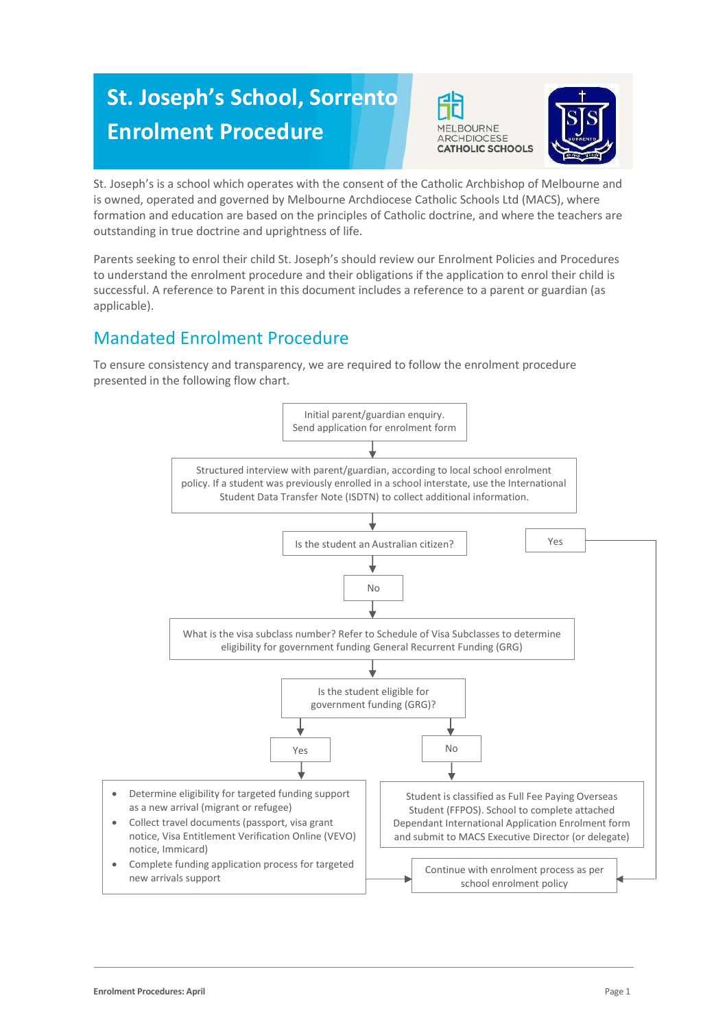# **St. Joseph's School, Sorrento Enrolment Procedure**





St. Joseph's is a school which operates with the consent of the Catholic Archbishop of Melbourne and is owned, operated and governed by Melbourne Archdiocese Catholic Schools Ltd (MACS), where formation and education are based on the principles of Catholic doctrine, and where the teachers are outstanding in true doctrine and uprightness of life.

Parents seeking to enrol their child St. Joseph's should review our Enrolment Policies and Procedures to understand the enrolment procedure and their obligations if the application to enrol their child is successful. A reference to Parent in this document includes a reference to a parent or guardian (as applicable).

# Mandated Enrolment Procedure

To ensure consistency and transparency, we are required to follow the enrolment procedure presented in the following flow chart.

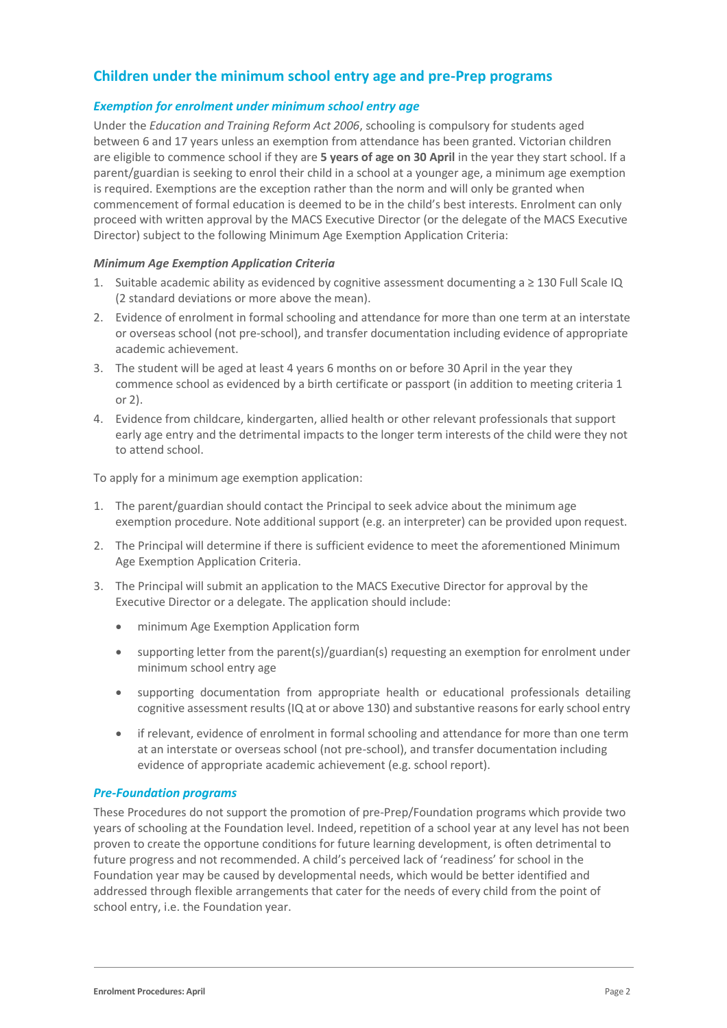# **Children under the minimum school entry age and pre-Prep programs**

#### *Exemption for enrolment under minimum school entry age*

Under the *Education and Training Reform Act 2006*, schooling is compulsory for students aged between 6 and 17 years unless an exemption from attendance has been granted. Victorian children are eligible to commence school if they are **5 years of age on 30 April** in the year they start school. If a parent/guardian is seeking to enrol their child in a school at a younger age, a minimum age exemption is required. Exemptions are the exception rather than the norm and will only be granted when commencement of formal education is deemed to be in the child's best interests. Enrolment can only proceed with written approval by the MACS Executive Director (or the delegate of the MACS Executive Director) subject to the following Minimum Age Exemption Application Criteria:

#### *Minimum Age Exemption Application Criteria*

- 1. Suitable academic ability as evidenced by cognitive assessment documenting a  $\geq$  130 Full Scale IQ (2 standard deviations or more above the mean).
- 2. Evidence of enrolment in formal schooling and attendance for more than one term at an interstate or overseas school (not pre-school), and transfer documentation including evidence of appropriate academic achievement.
- 3. The student will be aged at least 4 years 6 months on or before 30 April in the year they commence school as evidenced by a birth certificate or passport (in addition to meeting criteria 1 or 2).
- 4. Evidence from childcare, kindergarten, allied health or other relevant professionals that support early age entry and the detrimental impacts to the longer term interests of the child were they not to attend school.

To apply for a minimum age exemption application:

- 1. The parent/guardian should contact the Principal to seek advice about the minimum age exemption procedure. Note additional support (e.g. an interpreter) can be provided upon request.
- 2. The Principal will determine if there is sufficient evidence to meet the aforementioned Minimum Age Exemption Application Criteria.
- 3. The Principal will submit an application to the MACS Executive Director for approval by the Executive Director or a delegate. The application should include:
	- minimum Age Exemption Application form
	- supporting letter from the parent(s)/guardian(s) requesting an exemption for enrolment under minimum school entry age
	- supporting documentation from appropriate health or educational professionals detailing cognitive assessment results (IQ at or above 130) and substantive reasons for early school entry
	- if relevant, evidence of enrolment in formal schooling and attendance for more than one term at an interstate or overseas school (not pre-school), and transfer documentation including evidence of appropriate academic achievement (e.g. school report).

#### *Pre-Foundation programs*

These Procedures do not support the promotion of pre-Prep/Foundation programs which provide two years of schooling at the Foundation level. Indeed, repetition of a school year at any level has not been proven to create the opportune conditions for future learning development, is often detrimental to future progress and not recommended. A child's perceived lack of 'readiness' for school in the Foundation year may be caused by developmental needs, which would be better identified and addressed through flexible arrangements that cater for the needs of every child from the point of school entry, i.e. the Foundation year.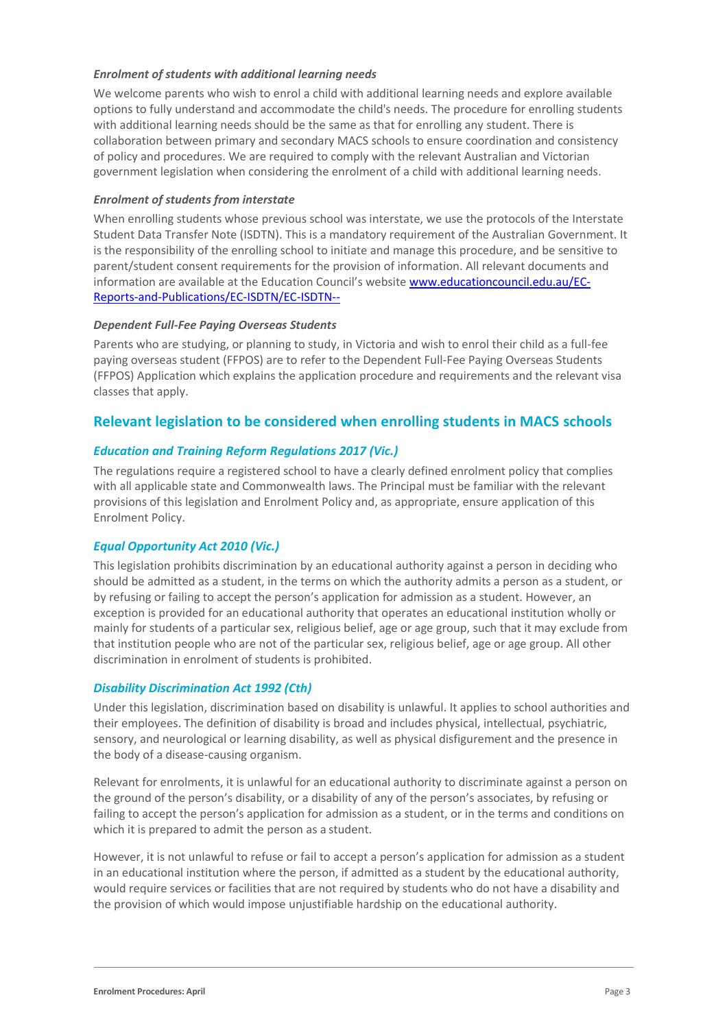#### *Enrolment of students with additional learning needs*

We welcome parents who wish to enrol a child with additional learning needs and explore available options to fully understand and accommodate the child's needs. The procedure for enrolling students with additional learning needs should be the same as that for enrolling any student. There is collaboration between primary and secondary MACS schools to ensure coordination and consistency of policy and procedures. We are required to comply with the relevant Australian and Victorian government legislation when considering the enrolment of a child with additional learning needs.

#### *Enrolment of students from interstate*

When enrolling students whose previous school was interstate, we use the protocols of the Interstate Student Data Transfer Note (ISDTN). This is a mandatory requirement of the Australian Government. It is the responsibility of the enrolling school to initiate and manage this procedure, and be sensitive to parent/student consent requirements for the provision of information. All relevant documents and information are available at the Education Council's website [www.educationcouncil.edu.au/EC-](http://www.educationcouncil.edu.au/EC-Reports-and-Publications/EC-ISDTN/EC-ISDTN---Non-Gov-Schools.aspx)[Reports-and-Publications/EC-ISDTN/EC-ISDTN--](http://www.educationcouncil.edu.au/EC-Reports-and-Publications/EC-ISDTN/EC-ISDTN---Non-Gov-Schools.aspx)

#### *Dependent Full-Fee Paying Overseas Students*

Parents who are studying, or planning to study, in Victoria and wish to enrol their child as a full-fee paying overseas student (FFPOS) are to refer to the Dependent Full-Fee Paying Overseas Students (FFPOS) Application which explains the application procedure and requirements and the relevant visa classes that apply.

## **Relevant legislation to be considered when enrolling students in MACS schools**

#### *Education and Training Reform Regulations 2017 (Vic.)*

The regulations require a registered school to have a clearly defined enrolment policy that complies with all applicable state and Commonwealth laws. The Principal must be familiar with the relevant provisions of this legislation and Enrolment Policy and, as appropriate, ensure application of this Enrolment Policy.

#### *Equal Opportunity Act 2010 (Vic.)*

This legislation prohibits discrimination by an educational authority against a person in deciding who should be admitted as a student, in the terms on which the authority admits a person as a student, or by refusing or failing to accept the person's application for admission as a student. However, an exception is provided for an educational authority that operates an educational institution wholly or mainly for students of a particular sex, religious belief, age or age group, such that it may exclude from that institution people who are not of the particular sex, religious belief, age or age group. All other discrimination in enrolment of students is prohibited.

#### *Disability Discrimination Act 1992 (Cth)*

Under this legislation, discrimination based on disability is unlawful. It applies to school authorities and their employees. The definition of disability is broad and includes physical, intellectual, psychiatric, sensory, and neurological or learning disability, as well as physical disfigurement and the presence in the body of a disease-causing organism.

Relevant for enrolments, it is unlawful for an educational authority to discriminate against a person on the ground of the person's disability, or a disability of any of the person's associates, by refusing or failing to accept the person's application for admission as a student, or in the terms and conditions on which it is prepared to admit the person as a student.

However, it is not unlawful to refuse or fail to accept a person's application for admission as a student in an educational institution where the person, if admitted as a student by the educational authority, would require services or facilities that are not required by students who do not have a disability and the provision of which would impose unjustifiable hardship on the educational authority.